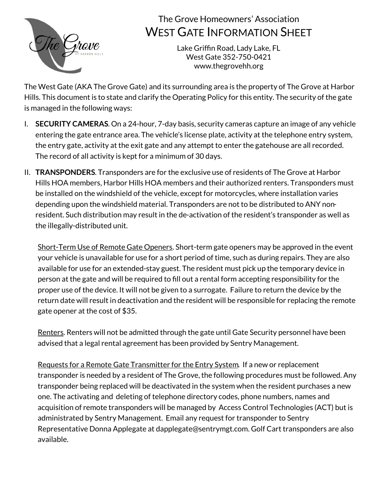

## The Grove Homeowners' Association WEST GATE INFORMATION SHEET

Lake Griffin Road, Lady Lake, FL West Gate 352-750-0421 www.thegrovehh.org

The West Gate (AKA The Grove Gate) and its surrounding area is the property of The Grove at Harbor Hills. This document is to state and clarify the Operating Policy for this entity. The security of the gate is managed in the following ways:

- I. **SECURITY CAMERAS**. On a 24-hour, 7-day basis, security cameras capture an image of any vehicle entering the gate entrance area. The vehicle's license plate, activity at the telephone entry system, the entry gate, activity at the exit gate and any attempt to enter the gatehouse are all recorded. The record of all activity is kept for a minimum of 30 days.
- II. **TRANSPONDERS**. Transponders are for the exclusive use of residents of The Grove at Harbor Hills HOA members, Harbor Hills HOA members and their authorized renters. Transponders must be installed on the windshield of the vehicle, except for motorcycles, where installation varies depending upon the windshield material. Transponders are not to be distributed to ANY nonresident. Such distribution may result in the de-activation of the resident's transponder as well as the illegally-distributed unit.

Short-Term Use of Remote Gate Openers. Short-term gate openers may be approved in the event your vehicle is unavailable for use for a short period of time, such as during repairs. They are also available for use for an extended-stay guest. The resident must pick up the temporary device in person at the gate and will be required to fill out a rental form accepting responsibility for the proper use of the device. It will not be given to a surrogate. Failure to return the device by the return date will result in deactivation and the resident will be responsible for replacing the remote gate opener at the cost of \$35.

Renters. Renters will not be admitted through the gate until Gate Security personnel have been advised that a legal rental agreement has been provided by Sentry Management.

Requests for a Remote Gate Transmitter for the Entry System. If a new or replacement transponder is needed by a resident of The Grove, the following procedures must be followed. Any transponder being replaced will be deactivated in the system when the resident purchases a new one. The activating and deleting of telephone directory codes, phone numbers, names and acquisition of remote transponders will be managed by Access Control Technologies (ACT) but is administrated by Sentry Management. Email any request for transponder to Sentry Representative Donna Applegate at dapplegate@sentrymgt.com. Golf Cart transponders are also available.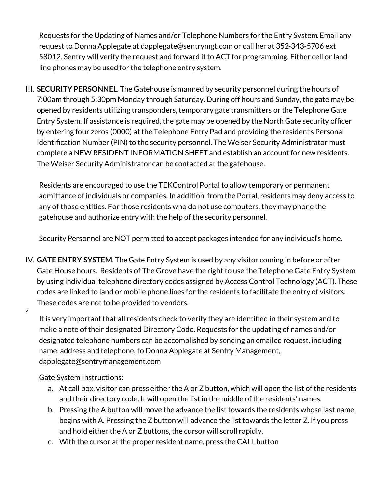Requests for the Updating of Names and/or Telephone Numbers for the Entry System. Email any request to Donna Applegate at dapplegate@sentrymgt.com or call her at 352-343-5706 ext 58012. Sentry will verify the request and forward it to ACT for programming. Either cell or landline phones may be used for the telephone entry system.

III. **SECURITY PERSONNEL**. The Gatehouse is manned by security personnel during the hours of 7:00am through 5:30pm Monday through Saturday. During off hours and Sunday, the gate may be opened by residents utilizing transponders, temporary gate transmitters or the Telephone Gate Entry System. If assistance is required, the gate may be opened by the North Gate security officer by entering four zeros (0000) at the Telephone Entry Pad and providing the resident's Personal Identification Number (PIN) to the security personnel. The Weiser Security Administrator must complete a NEW RESIDENT INFORMATION SHEET and establish an account for new residents. The Weiser Security Administrator can be contacted at the gatehouse.

Residents are encouraged to use the TEKControl Portal to allow temporary or permanent admittance of individuals or companies. In addition, from the Portal, residents may deny access to any of those entities. For those residents who do not use computers, they may phone the gatehouse and authorize entry with the help of the security personnel.

Security Personnel are NOT permitted to accept packages intended for any individual's home.

IV. **GATE ENTRY SYSTEM**. The Gate Entry System is used by any visitor coming in before or after Gate House hours. Residents of The Grove have the right to use the Telephone Gate Entry System by using individual telephone directory codes assigned by Access Control Technology (ACT). These codes are linked to land or mobile phone lines for the residents to facilitate the entry of visitors. These codes are not to be provided to vendors.

V.

It is very important that all residents check to verify they are identified in their system and to make a note of their designated Directory Code. Requests for the updating of names and/or designated telephone numbers can be accomplished by sending an emailed request, including name, address and telephone, to Donna Applegate at Sentry Management, dapplegate@sentrymanagement.com

## Gate System Instructions:

- a. At call box, visitor can press either the A or Z button, which will open the list of the residents and their directory code. It will open the list in the middle of the residents' names.
- b. Pressing the A button will move the advance the list towards the residents whose last name begins with A. Pressing the Z button will advance the list towards the letter Z. If you press and hold either the A or Z buttons, the cursor will scroll rapidly.
- c. With the cursor at the proper resident name, press the CALL button